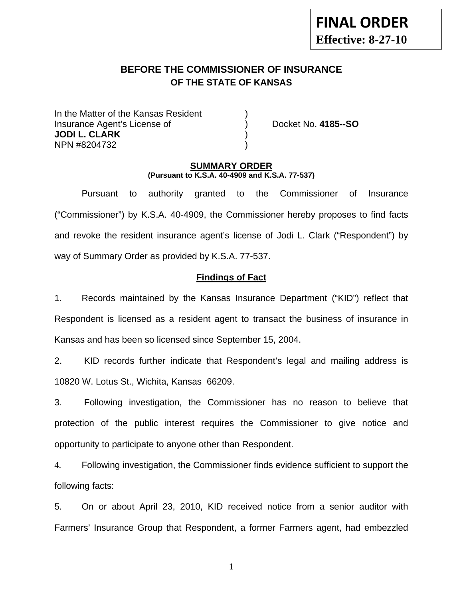# **BEFORE THE COMMISSIONER OF INSURANCE OF THE STATE OF KANSAS**

In the Matter of the Kansas Resident Insurance Agent's License of ) Docket No. **4185--SO JODI L. CLARK** ) NPN #8204732 )

#### **SUMMARY ORDER (Pursuant to K.S.A. 40-4909 and K.S.A. 77-537)**

 Pursuant to authority granted to the Commissioner of Insurance ("Commissioner") by K.S.A. 40-4909, the Commissioner hereby proposes to find facts and revoke the resident insurance agent's license of Jodi L. Clark ("Respondent") by way of Summary Order as provided by K.S.A. 77-537.

# **Findings of Fact**

1. Records maintained by the Kansas Insurance Department ("KID") reflect that Respondent is licensed as a resident agent to transact the business of insurance in Kansas and has been so licensed since September 15, 2004.

2. KID records further indicate that Respondent's legal and mailing address is 10820 W. Lotus St., Wichita, Kansas 66209.

3. Following investigation, the Commissioner has no reason to believe that protection of the public interest requires the Commissioner to give notice and opportunity to participate to anyone other than Respondent.

4. Following investigation, the Commissioner finds evidence sufficient to support the following facts:

5. On or about April 23, 2010, KID received notice from a senior auditor with Farmers' Insurance Group that Respondent, a former Farmers agent, had embezzled

1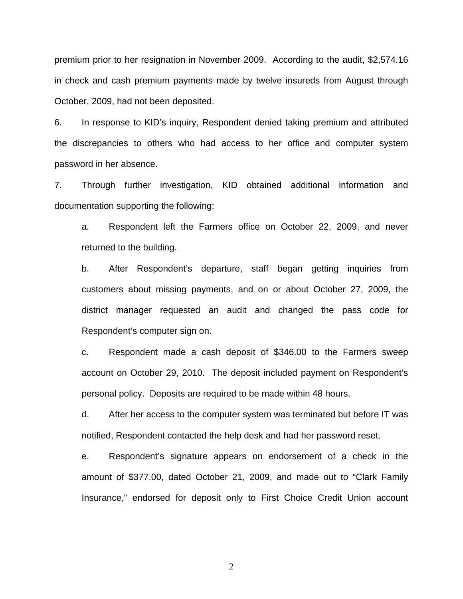premium prior to her resignation in November 2009. According to the audit, \$2,574.16 in check and cash premium payments made by twelve insureds from August through October, 2009, had not been deposited.

6. In response to KID's inquiry, Respondent denied taking premium and attributed the discrepancies to others who had access to her office and computer system password in her absence.

7. Through further investigation, KID obtained additional information and documentation supporting the following:

a. Respondent left the Farmers office on October 22, 2009, and never returned to the building.

b. After Respondent's departure, staff began getting inquiries from customers about missing payments, and on or about October 27, 2009, the district manager requested an audit and changed the pass code for Respondent's computer sign on.

c. Respondent made a cash deposit of \$346.00 to the Farmers sweep account on October 29, 2010. The deposit included payment on Respondent's personal policy. Deposits are required to be made within 48 hours.

d. After her access to the computer system was terminated but before IT was notified, Respondent contacted the help desk and had her password reset.

e. Respondent's signature appears on endorsement of a check in the amount of \$377.00, dated October 21, 2009, and made out to "Clark Family Insurance," endorsed for deposit only to First Choice Credit Union account

2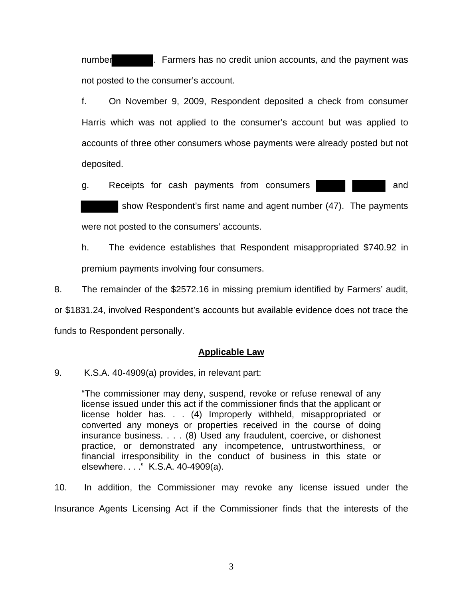number **1. Farmers has no credit union accounts**, and the payment was not posted to the consumer's account.

f. On November 9, 2009, Respondent deposited a check from consumer Harris which was not applied to the consumer's account but was applied to accounts of three other consumers whose payments were already posted but not deposited.

g. Receipts for cash payments from consumers **and** and

 show Respondent's first name and agent number (47). The payments were not posted to the consumers' accounts.

h. The evidence establishes that Respondent misappropriated \$740.92 in premium payments involving four consumers.

8. The remainder of the \$2572.16 in missing premium identified by Farmers' audit,

or \$1831.24, involved Respondent's accounts but available evidence does not trace the funds to Respondent personally.

### **Applicable Law**

9. K.S.A. 40-4909(a) provides, in relevant part:

"The commissioner may deny, suspend, revoke or refuse renewal of any license issued under this act if the commissioner finds that the applicant or license holder has. . . (4) Improperly withheld, misappropriated or converted any moneys or properties received in the course of doing insurance business. . . . (8) Used any fraudulent, coercive, or dishonest practice, or demonstrated any incompetence, untrustworthiness, or financial irresponsibility in the conduct of business in this state or elsewhere. . . ." K.S.A. 40-4909(a).

10. In addition, the Commissioner may revoke any license issued under the Insurance Agents Licensing Act if the Commissioner finds that the interests of the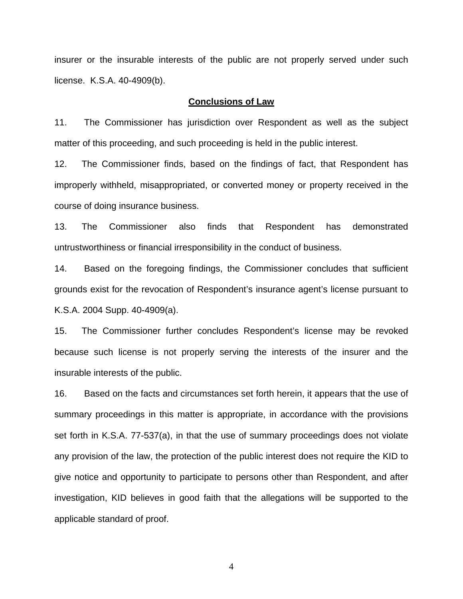insurer or the insurable interests of the public are not properly served under such license. K.S.A. 40-4909(b).

#### **Conclusions of Law**

11. The Commissioner has jurisdiction over Respondent as well as the subject matter of this proceeding, and such proceeding is held in the public interest.

12. The Commissioner finds, based on the findings of fact, that Respondent has improperly withheld, misappropriated, or converted money or property received in the course of doing insurance business.

13. The Commissioner also finds that Respondent has demonstrated untrustworthiness or financial irresponsibility in the conduct of business.

14. Based on the foregoing findings, the Commissioner concludes that sufficient grounds exist for the revocation of Respondent's insurance agent's license pursuant to K.S.A. 2004 Supp. 40-4909(a).

15. The Commissioner further concludes Respondent's license may be revoked because such license is not properly serving the interests of the insurer and the insurable interests of the public.

16. Based on the facts and circumstances set forth herein, it appears that the use of summary proceedings in this matter is appropriate, in accordance with the provisions set forth in K.S.A. 77-537(a), in that the use of summary proceedings does not violate any provision of the law, the protection of the public interest does not require the KID to give notice and opportunity to participate to persons other than Respondent, and after investigation, KID believes in good faith that the allegations will be supported to the applicable standard of proof.

4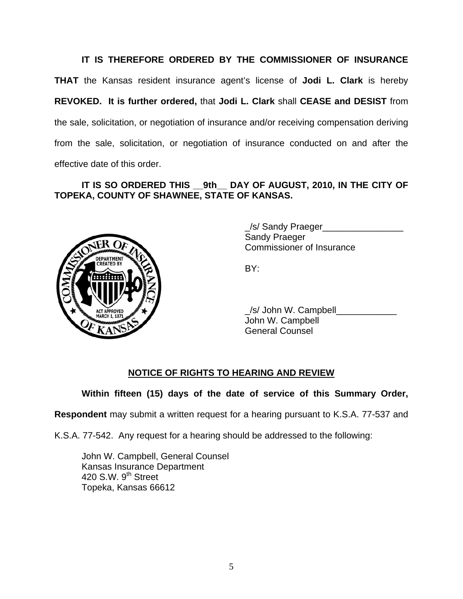**IT IS THEREFORE ORDERED BY THE COMMISSIONER OF INSURANCE THAT** the Kansas resident insurance agent's license of **Jodi L. Clark** is hereby **REVOKED. It is further ordered,** that **Jodi L. Clark** shall **CEASE and DESIST** from the sale, solicitation, or negotiation of insurance and/or receiving compensation deriving from the sale, solicitation, or negotiation of insurance conducted on and after the effective date of this order.

# **IT IS SO ORDERED THIS \_\_9th\_\_ DAY OF AUGUST, 2010, IN THE CITY OF TOPEKA, COUNTY OF SHAWNEE, STATE OF KANSAS.**



 \_/s/ Sandy Praeger\_\_\_\_\_\_\_\_\_\_\_\_\_\_\_\_ Sandy Praeger Commissioner of Insurance

 \_/s/ John W. Campbell\_\_\_\_\_\_\_\_\_\_\_\_ John W. Campbell General Counsel

# **NOTICE OF RIGHTS TO HEARING AND REVIEW**

**Within fifteen (15) days of the date of service of this Summary Order,** 

**Respondent** may submit a written request for a hearing pursuant to K.S.A. 77-537 and

K.S.A. 77-542. Any request for a hearing should be addressed to the following:

 John W. Campbell, General Counsel Kansas Insurance Department 420 S.W. 9<sup>th</sup> Street Topeka, Kansas 66612